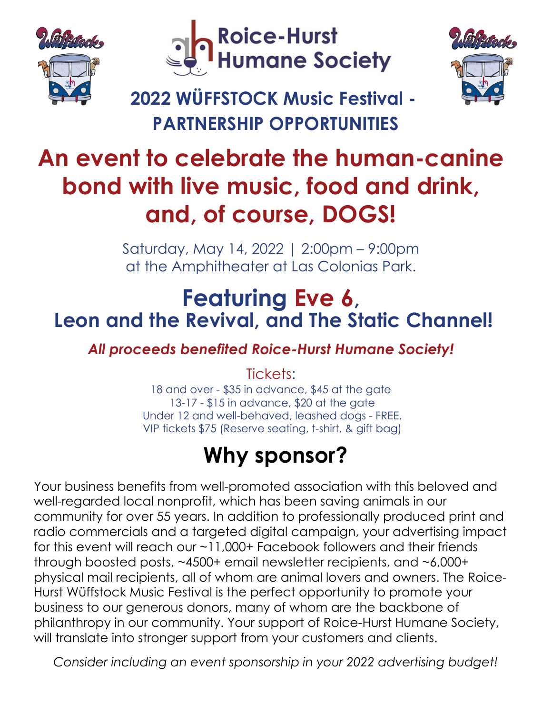





# **An event to celebrate the human-canine bond with live music, food and drink, and, of course, DOGS!**

Saturday, May 14, 2022 | 2:00pm – 9:00pm at the Amphitheater at Las Colonias Park.

### **Featuring Eve 6, Leon and the Revival, and The Static Channel!**

*All proceeds benefited Roice-Hurst Humane Society!*

Tickets:

18 and over - \$35 in advance, \$45 at the gate 13-17 - \$15 in advance, \$20 at the gate Under 12 and well-behaved, leashed dogs - FREE. VIP tickets \$75 (Reserve seating, t-shirt, & gift bag)

# **Why sponsor?**

Your business benefits from well-promoted association with this beloved and well-regarded local nonprofit, which has been saving animals in our community for over 55 years. In addition to professionally produced print and radio commercials and a targeted digital campaign, your advertising impact for this event will reach our ~11,000+ Facebook followers and their friends through boosted posts, ~4500+ email newsletter recipients, and ~6,000+ physical mail recipients, all of whom are animal lovers and owners. The Roice-Hurst Wüffstock Music Festival is the perfect opportunity to promote your business to our generous donors, many of whom are the backbone of philanthropy in our community. Your support of Roice-Hurst Humane Society, will translate into stronger support from your customers and clients.

*Consider including an event sponsorship in your 2022 advertising budget!*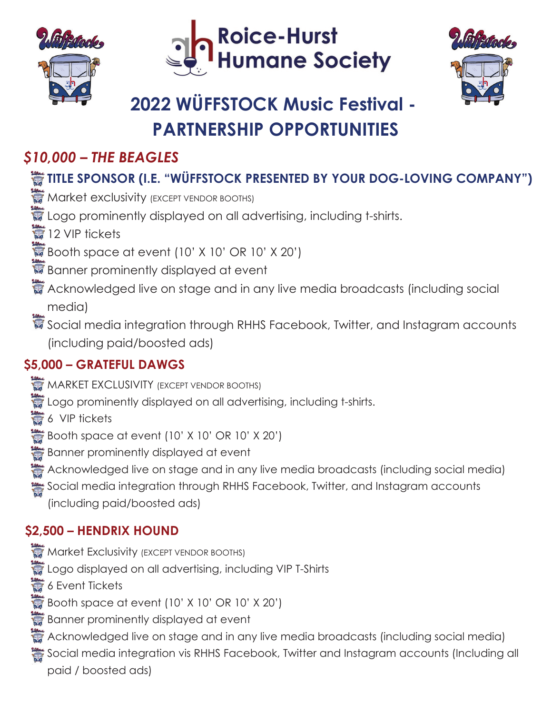





### *\$10,000 – THE BEAGLES*

### **TITLE SPONSOR (I.E. "WÜFFSTOCK PRESENTED BY YOUR DOG-LOVING COMPANY")**

- **Market exclusivity (EXCEPT VENDOR BOOTHS)**
- **E** Logo prominently displayed on all advertising, including t-shirts.
- ■12 VIP tickets
- $\mathbb{F}$  Booth space at event (10' X 10' OR 10' X 20')
- Banner prominently displayed at event
- Acknowledged live on stage and in any live media broadcasts (including social media)
- Social media integration through RHHS Facebook, Twitter, and Instagram accounts (including paid/boosted ads)

### **\$5,000 – GRATEFUL DAWGS**

- **MARKET EXCLUSIVITY (EXCEPT VENDOR BOOTHS)**
- Logo prominently displayed on all advertising, including t-shirts.
- **6** VIP tickets
- Booth space at event (10' X 10' OR 10' X 20')
- Banner prominently displayed at event
- Acknowledged live on stage and in any live media broadcasts (including social media)
- Social media integration through RHHS Facebook, Twitter, and Instagram accounts (including paid/boosted ads)

### **\$2,500 – HENDRIX HOUND**

- **Market Exclusivity (EXCEPT VENDOR BOOTHS)**
- Logo displayed on all advertising, including VIP T-Shirts
- **6** 6 Event Tickets
- Booth space at event  $(10'$  X 10' OR 10' X 20')
- **B** Banner prominently displayed at event
- Acknowledged live on stage and in any live media broadcasts (including social media)
- Social media integration vis RHHS Facebook, Twitter and Instagram accounts (Including all paid / boosted ads)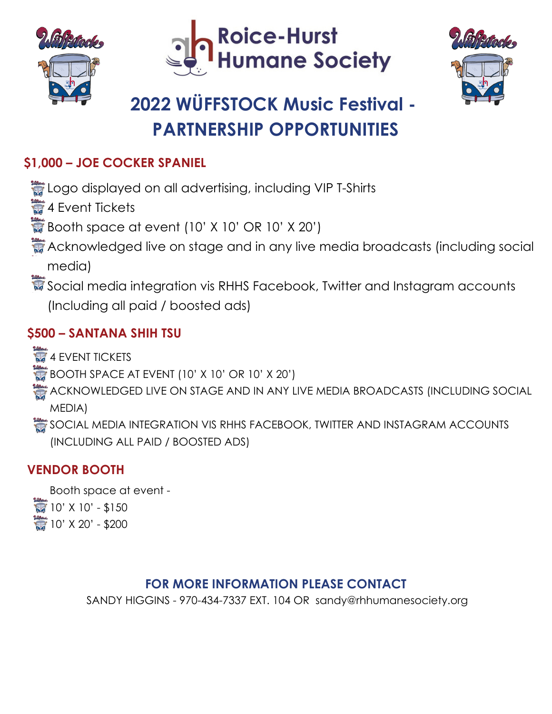





#### **\$1,000 – JOE COCKER SPANIEL**

Logo displayed on all advertising, including VIP T-Shirts

**4 Event Tickets** 

Booth space at event  $(10'$  X 10' OR 10' X 20')

- Acknowledged live on stage and in any live media broadcasts (including social media)
- Social media integration vis RHHS Facebook, Twitter and Instagram accounts (Including all paid / boosted ads)

#### **\$500 – SANTANA SHIH TSU**

4 EVENT TICKETS

 $\bullet$  BOOTH SPACE AT EVENT (10' X 10' OR 10' X 20')

- ACKNOWLEDGED LIVE ON STAGE AND IN ANY LIVE MEDIA BROADCASTS (INCLUDING SOCIAL MEDIA)
- SOCIAL MEDIA INTEGRATION VIS RHHS FACEBOOK, TWITTER AND INSTAGRAM ACCOUNTS (INCLUDING ALL PAID / BOOSTED ADS)

#### **VENDOR BOOTH**

Booth space at event -  $10'$  X 10' - \$150  $10'$  X 20' - \$200

#### **FOR MORE INFORMATION PLEASE CONTACT**

SANDY HIGGINS - 970-434-7337 EXT. 104 OR sandy@rhhumanesociety.org